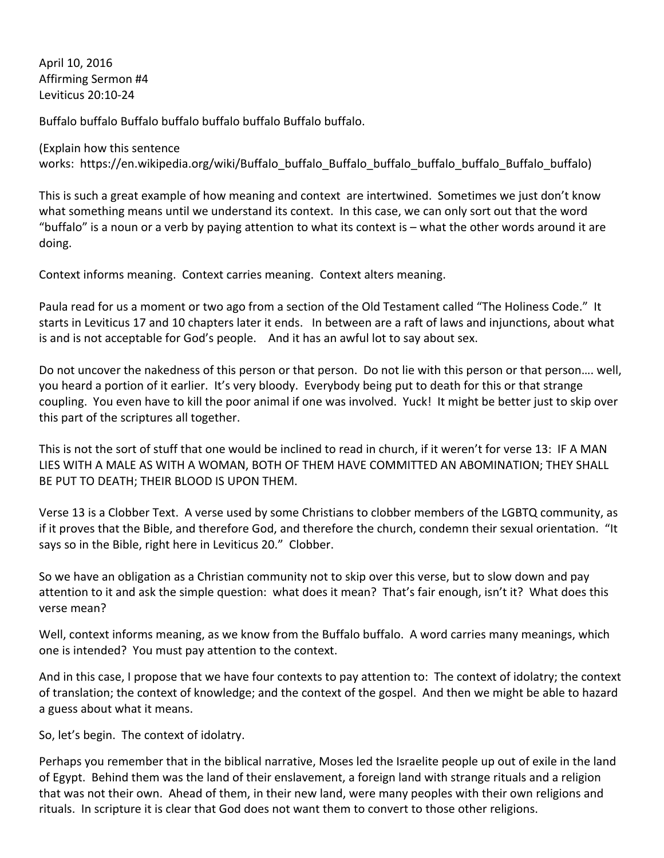April 10, 2016 Affirming Sermon #4 Leviticus 20:10-24

Buffalo buffalo Buffalo buffalo buffalo buffalo Buffalo buffalo.

(Explain how this sentence works: https://en.wikipedia.org/wiki/Buffalo\_buffalo\_Buffalo\_buffalo\_buffalo\_Buffalo\_buffalo)

This is such a great example of how meaning and context are intertwined. Sometimes we just don't know what something means until we understand its context. In this case, we can only sort out that the word "buffalo" is a noun or a verb by paying attention to what its context is  $-$  what the other words around it are doing.

Context informs meaning. Context carries meaning. Context alters meaning.

Paula read for us a moment or two ago from a section of the Old Testament called "The Holiness Code." It starts in Leviticus 17 and 10 chapters later it ends. In between are a raft of laws and injunctions, about what is and is not acceptable for God's people. And it has an awful lot to say about sex.

Do not uncover the nakedness of this person or that person. Do not lie with this person or that person.... well, you heard a portion of it earlier. It's very bloody. Everybody being put to death for this or that strange coupling. You even have to kill the poor animal if one was involved. Yuck! It might be better just to skip over this part of the scriptures all together.

This is not the sort of stuff that one would be inclined to read in church, if it weren't for verse 13: IF A MAN LIES WITH A MALE AS WITH A WOMAN, BOTH OF THEM HAVE COMMITTED AN ABOMINATION; THEY SHALL BE PUT TO DEATH; THEIR BLOOD IS UPON THEM.

Verse 13 is a Clobber Text. A verse used by some Christians to clobber members of the LGBTQ community, as if it proves that the Bible, and therefore God, and therefore the church, condemn their sexual orientation. "It says so in the Bible, right here in Leviticus 20." Clobber.

So we have an obligation as a Christian community not to skip over this verse, but to slow down and pay attention to it and ask the simple question: what does it mean? That's fair enough, isn't it? What does this verse mean?

Well, context informs meaning, as we know from the Buffalo buffalo. A word carries many meanings, which one is intended? You must pay attention to the context.

And in this case, I propose that we have four contexts to pay attention to: The context of idolatry; the context of translation; the context of knowledge; and the context of the gospel. And then we might be able to hazard a guess about what it means.

So, let's begin. The context of idolatry.

Perhaps you remember that in the biblical narrative, Moses led the Israelite people up out of exile in the land of Egypt. Behind them was the land of their enslavement, a foreign land with strange rituals and a religion that was not their own. Ahead of them, in their new land, were many peoples with their own religions and rituals. In scripture it is clear that God does not want them to convert to those other religions.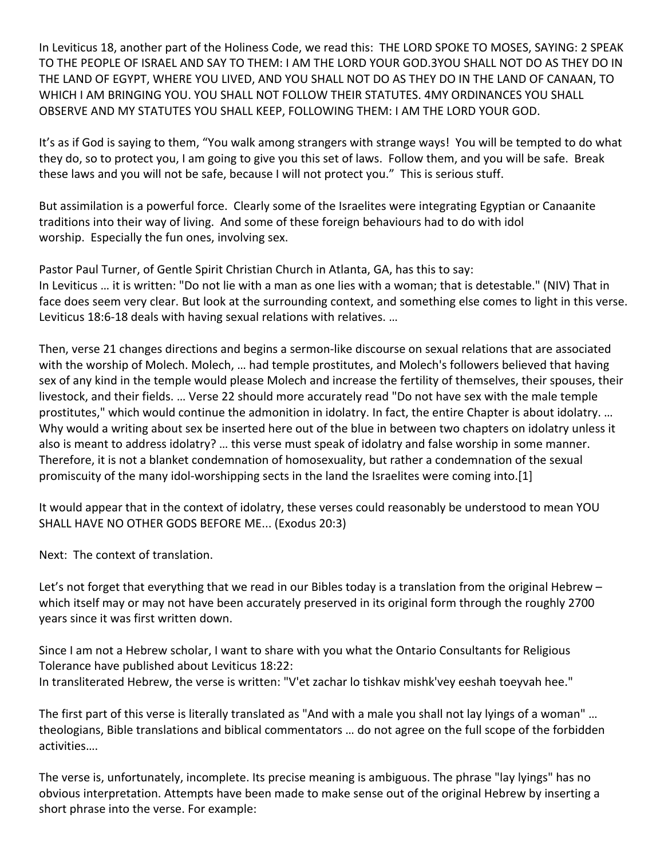In Leviticus 18, another part of the Holiness Code, we read this: THE LORD SPOKE TO MOSES, SAYING: 2 SPEAK TO THE PEOPLE OF ISRAEL AND SAY TO THEM: I AM THE LORD YOUR GOD.3YOU SHALL NOT DO AS THEY DO IN THE LAND OF EGYPT, WHERE YOU LIVED, AND YOU SHALL NOT DO AS THEY DO IN THE LAND OF CANAAN, TO WHICH I AM BRINGING YOU. YOU SHALL NOT FOLLOW THEIR STATUTES. 4MY ORDINANCES YOU SHALL OBSERVE AND MY STATUTES YOU SHALL KEEP, FOLLOWING THEM: I AM THE LORD YOUR GOD.

It's as if God is saying to them, "You walk among strangers with strange ways! You will be tempted to do what they do, so to protect you, I am going to give you this set of laws. Follow them, and you will be safe. Break these laws and you will not be safe, because I will not protect you." This is serious stuff.

But assimilation is a powerful force. Clearly some of the Israelites were integrating Egyptian or Canaanite traditions into their way of living. And some of these foreign behaviours had to do with idol worship. Especially the fun ones, involving sex.

Pastor Paul Turner, of Gentle Spirit Christian Church in Atlanta, GA, has this to say: In Leviticus ... it is written: "Do not lie with a man as one lies with a woman; that is detestable." (NIV) That in face does seem very clear. But look at the surrounding context, and something else comes to light in this verse. Leviticus 18:6-18 deals with having sexual relations with relatives. ...

Then, verse 21 changes directions and begins a sermon-like discourse on sexual relations that are associated with the worship of Molech. Molech, ... had temple prostitutes, and Molech's followers believed that having sex of any kind in the temple would please Molech and increase the fertility of themselves, their spouses, their livestock, and their fields. ... Verse 22 should more accurately read "Do not have sex with the male temple prostitutes," which would continue the admonition in idolatry. In fact, the entire Chapter is about idolatry. ... Why would a writing about sex be inserted here out of the blue in between two chapters on idolatry unless it also is meant to address idolatry? ... this verse must speak of idolatry and false worship in some manner. Therefore, it is not a blanket condemnation of homosexuality, but rather a condemnation of the sexual promiscuity of the many idol-worshipping sects in the land the Israelites were coming into.[1]

It would appear that in the context of idolatry, these verses could reasonably be understood to mean YOU SHALL HAVE NO OTHER GODS BEFORE ME... (Exodus 20:3)

Next: The context of translation.

Let's not forget that everything that we read in our Bibles today is a translation from the original Hebrew  $$ which itself may or may not have been accurately preserved in its original form through the roughly 2700 years since it was first written down.

Since I am not a Hebrew scholar, I want to share with you what the Ontario Consultants for Religious Tolerance have published about Leviticus 18:22: In transliterated Hebrew, the verse is written: "V'et zachar lo tishkav mishk'vey eeshah toeyvah hee."

The first part of this verse is literally translated as "And with a male you shall not lay lyings of a woman" ... theologians, Bible translations and biblical commentators ... do not agree on the full scope of the forbidden activities….

The verse is, unfortunately, incomplete. Its precise meaning is ambiguous. The phrase "lay lyings" has no obvious interpretation. Attempts have been made to make sense out of the original Hebrew by inserting a short phrase into the verse. For example: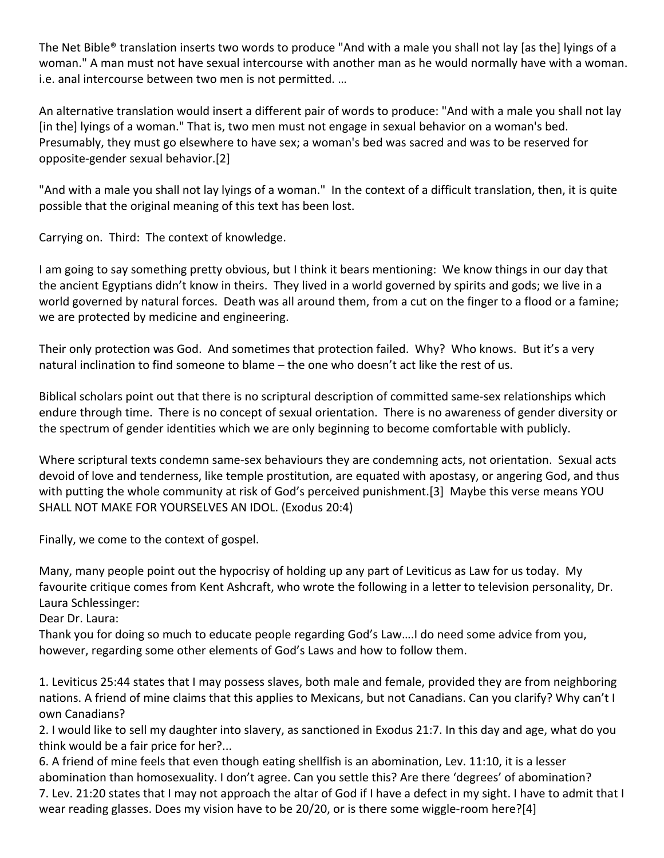The Net Bible® translation inserts two words to produce "And with a male you shall not lay [as the] lyings of a woman." A man must not have sexual intercourse with another man as he would normally have with a woman. i.e. anal intercourse between two men is not permitted. ...

An alternative translation would insert a different pair of words to produce: "And with a male you shall not lay [in the] lyings of a woman." That is, two men must not engage in sexual behavior on a woman's bed. Presumably, they must go elsewhere to have sex; a woman's bed was sacred and was to be reserved for opposite-gender sexual behavior.[2]

"And with a male you shall not lay lyings of a woman." In the context of a difficult translation, then, it is quite possible that the original meaning of this text has been lost.

Carrying on. Third: The context of knowledge.

I am going to say something pretty obvious, but I think it bears mentioning: We know things in our day that the ancient Egyptians didn't know in theirs. They lived in a world governed by spirits and gods; we live in a world governed by natural forces. Death was all around them, from a cut on the finger to a flood or a famine; we are protected by medicine and engineering.

Their only protection was God. And sometimes that protection failed. Why? Who knows. But it's a very natural inclination to find someone to blame  $-$  the one who doesn't act like the rest of us.

Biblical scholars point out that there is no scriptural description of committed same-sex relationships which endure through time. There is no concept of sexual orientation. There is no awareness of gender diversity or the spectrum of gender identities which we are only beginning to become comfortable with publicly.

Where scriptural texts condemn same-sex behaviours they are condemning acts, not orientation. Sexual acts devoid of love and tenderness, like temple prostitution, are equated with apostasy, or angering God, and thus with putting the whole community at risk of God's perceived punishment.[3] Maybe this verse means YOU SHALL NOT MAKE FOR YOURSELVES AN IDOL. (Exodus 20:4)

Finally, we come to the context of gospel.

Many, many people point out the hypocrisy of holding up any part of Leviticus as Law for us today. My favourite critique comes from Kent Ashcraft, who wrote the following in a letter to television personality, Dr. Laura Schlessinger:

Dear Dr. Laura:

Thank you for doing so much to educate people regarding God's Law....I do need some advice from you, however, regarding some other elements of God's Laws and how to follow them.

1. Leviticus 25:44 states that I may possess slaves, both male and female, provided they are from neighboring nations. A friend of mine claims that this applies to Mexicans, but not Canadians. Can you clarify? Why can't I own Canadians?

2. I would like to sell my daughter into slavery, as sanctioned in Exodus 21:7. In this day and age, what do you think would be a fair price for her?...

6. A friend of mine feels that even though eating shellfish is an abomination, Lev. 11:10, it is a lesser abomination than homosexuality. I don't agree. Can you settle this? Are there 'degrees' of abomination? 7. Lev. 21:20 states that I may not approach the altar of God if I have a defect in my sight. I have to admit that I wear reading glasses. Does my vision have to be 20/20, or is there some wiggle-room here?[4]